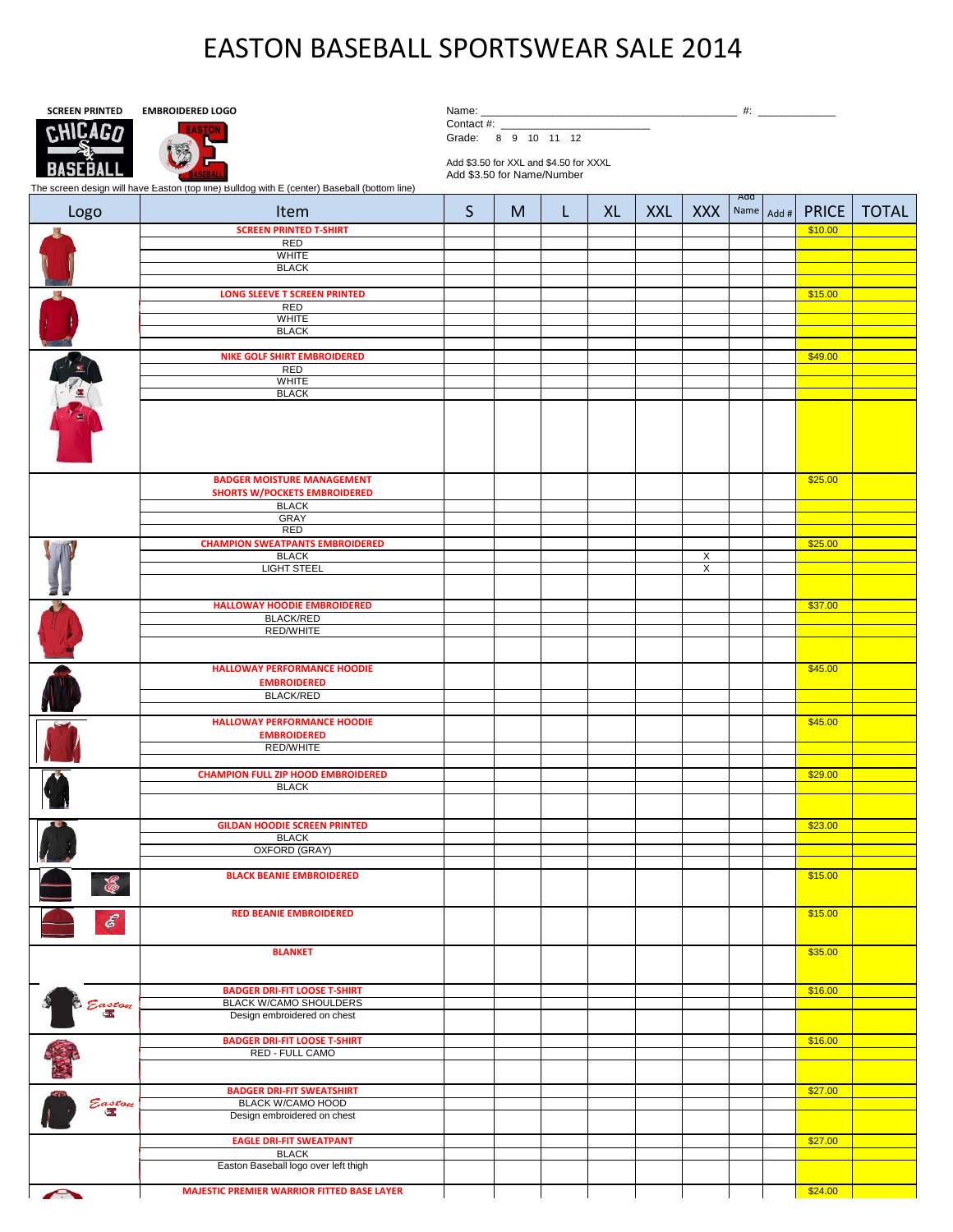## EASTON BASEBALL SPORTSWEAR SALE 2014



Contact #: Grade: 8 9 10 11 12

Add \$3.50 for XXL and \$4.50 for XXXL Add \$3.50 for Name/Number

The screen design will have Easton (top line) Bulldog with E (center) Baseball (bottom line)

| Logo           | The screen design will have Laston (top line) Duildog with L (center) Daseball (bottom line)<br>Item | S | M | L | XL | <b>XXL</b> | <b>XXX</b> | Add | Name Add # | <b>PRICE</b> | <b>TOTAL</b> |
|----------------|------------------------------------------------------------------------------------------------------|---|---|---|----|------------|------------|-----|------------|--------------|--------------|
|                | <b>SCREEN PRINTED T-SHIRT</b>                                                                        |   |   |   |    |            |            |     |            | \$10.00      |              |
|                | RED<br>WHITE                                                                                         |   |   |   |    |            |            |     |            |              |              |
|                | <b>BLACK</b>                                                                                         |   |   |   |    |            |            |     |            |              |              |
|                |                                                                                                      |   |   |   |    |            |            |     |            |              |              |
|                | <b>LONG SLEEVE T SCREEN PRINTED</b>                                                                  |   |   |   |    |            |            |     |            | \$15.00      |              |
|                | RED                                                                                                  |   |   |   |    |            |            |     |            |              |              |
|                | <b>WHITE</b>                                                                                         |   |   |   |    |            |            |     |            |              |              |
|                | <b>BLACK</b>                                                                                         |   |   |   |    |            |            |     |            |              |              |
|                | <b>NIKE GOLF SHIRT EMBROIDERED</b>                                                                   |   |   |   |    |            |            |     |            | \$49.00      |              |
|                | RED                                                                                                  |   |   |   |    |            |            |     |            |              |              |
|                | <b>WHITE</b>                                                                                         |   |   |   |    |            |            |     |            |              |              |
|                | <b>BLACK</b>                                                                                         |   |   |   |    |            |            |     |            |              |              |
| <b>CALLANT</b> |                                                                                                      |   |   |   |    |            |            |     |            |              |              |
|                |                                                                                                      |   |   |   |    |            |            |     |            |              |              |
|                | <b>BADGER MOISTURE MANAGEMENT</b>                                                                    |   |   |   |    |            |            |     |            | \$25.00      |              |
|                | <b>SHORTS W/POCKETS EMBROIDERED</b><br><b>BLACK</b>                                                  |   |   |   |    |            |            |     |            |              |              |
|                | <b>GRAY</b>                                                                                          |   |   |   |    |            |            |     |            |              |              |
|                | RED                                                                                                  |   |   |   |    |            |            |     |            |              |              |
|                | <b>CHAMPION SWEATPANTS EMBROIDERED</b>                                                               |   |   |   |    |            |            |     |            | \$25.00      |              |
|                | <b>BLACK</b>                                                                                         |   |   |   |    |            | X          |     |            |              |              |
|                | <b>LIGHT STEEL</b>                                                                                   |   |   |   |    |            | X          |     |            |              |              |
|                |                                                                                                      |   |   |   |    |            |            |     |            |              |              |
|                | HALLOWAY HOODIE EMBROIDERED                                                                          |   |   |   |    |            |            |     |            | \$37.00      |              |
|                | <b>BLACK/RED</b><br><b>RED/WHITE</b>                                                                 |   |   |   |    |            |            |     |            |              |              |
|                |                                                                                                      |   |   |   |    |            |            |     |            |              |              |
|                | <b>HALLOWAY PERFORMANCE HOODIE</b><br><b>EMBROIDERED</b>                                             |   |   |   |    |            |            |     |            | \$45.00      |              |
|                | <b>BLACK/RED</b>                                                                                     |   |   |   |    |            |            |     |            |              |              |
|                |                                                                                                      |   |   |   |    |            |            |     |            |              |              |
|                | <b>HALLOWAY PERFORMANCE HOODIE</b><br><b>EMBROIDERED</b>                                             |   |   |   |    |            |            |     |            | \$45.00      |              |
|                | RED/WHITE                                                                                            |   |   |   |    |            |            |     |            |              |              |
|                | <b>CHAMPION FULL ZIP HOOD EMBROIDERED</b>                                                            |   |   |   |    |            |            |     |            | \$29.00      |              |
|                | <b>BLACK</b>                                                                                         |   |   |   |    |            |            |     |            |              |              |
|                |                                                                                                      |   |   |   |    |            |            |     |            |              |              |
|                | <b>GILDAN HOODIE SCREEN PRINTED</b>                                                                  |   |   |   |    |            |            |     |            | \$23.00      |              |
|                | <b>BLACK</b>                                                                                         |   |   |   |    |            |            |     |            |              |              |
|                | <b>OXFORD (GRAY)</b>                                                                                 |   |   |   |    |            |            |     |            |              |              |
|                |                                                                                                      |   |   |   |    |            |            |     |            |              |              |
| 忍              | <b>BLACK BEANIE EMBROIDERED</b>                                                                      |   |   |   |    |            |            |     |            | \$15.00      |              |
| $\mathcal{E}$  | <b>RED BEANIE EMBROIDERED</b>                                                                        |   |   |   |    |            |            |     |            | \$15.00      |              |
|                | <b>BLANKET</b>                                                                                       |   |   |   |    |            |            |     |            | \$35.00      |              |
| Easton         | <b>BADGER DRI-FIT LOOSE T-SHIRT</b>                                                                  |   |   |   |    |            |            |     |            | \$16.00      |              |
|                | <b>BLACK W/CAMO SHOULDERS</b>                                                                        |   |   |   |    |            |            |     |            |              |              |
|                | Design embroidered on chest                                                                          |   |   |   |    |            |            |     |            |              |              |
|                |                                                                                                      |   |   |   |    |            |            |     |            |              |              |
|                | <b>BADGER DRI-FIT LOOSE T-SHIRT</b><br>RED - FULL CAMO                                               |   |   |   |    |            |            |     |            | \$16.00      |              |
|                |                                                                                                      |   |   |   |    |            |            |     |            |              |              |
| Easton         | <b>BADGER DRI-FIT SWEATSHIRT</b>                                                                     |   |   |   |    |            |            |     |            | \$27.00      |              |
|                | <b>BLACK W/CAMO HOOD</b>                                                                             |   |   |   |    |            |            |     |            |              |              |
|                | Design embroidered on chest                                                                          |   |   |   |    |            |            |     |            |              |              |
|                | <b>EAGLE DRI-FIT SWEATPANT</b>                                                                       |   |   |   |    |            |            |     |            | \$27.00      |              |
|                | <b>BLACK</b>                                                                                         |   |   |   |    |            |            |     |            |              |              |
|                | Easton Baseball logo over left thigh                                                                 |   |   |   |    |            |            |     |            |              |              |
| A              | <b>MAJESTIC PREMIER WARRIOR FITTED BASE LAYER</b>                                                    |   |   |   |    |            |            |     |            | \$24.00      |              |